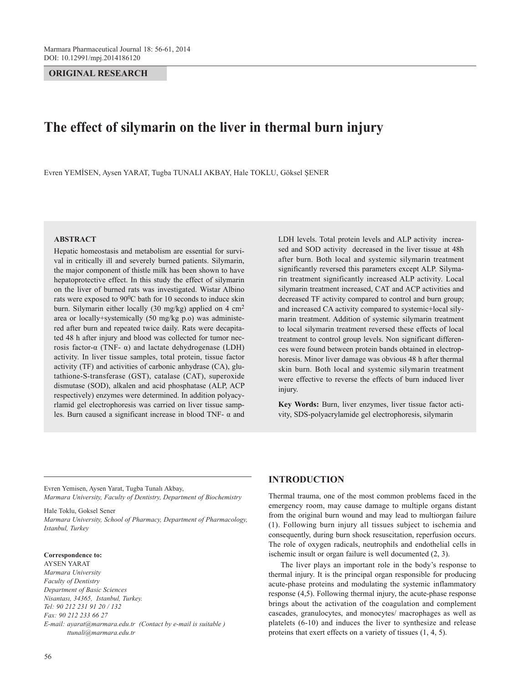**ORIGINAL RESEARCH**

# **The effect of silymarin on the liver in thermal burn injury**

Evren YEMİSEN, Aysen YARAT, Tugba TUNALI AKBAY, Hale TOKLU, Göksel ŞENER

#### **ABSTRACT**

Hepatic homeostasis and metabolism are essential for survival in critically ill and severely burned patients. Silymarin, the major component of thistle milk has been shown to have hepatoprotective effect. In this study the effect of silymarin on the liver of burned rats was investigated. Wistar Albino rats were exposed to  $90^0C$  bath for 10 seconds to induce skin burn. Silymarin either locally (30 mg/kg) applied on 4 cm2 area or locally+systemically (50 mg/kg p.o) was administered after burn and repeated twice daily. Rats were decapitated 48 h after injury and blood was collected for tumor necrosis factor- $\alpha$  (TNF- α) and lactate dehydrogenase (LDH) activity. In liver tissue samples, total protein, tissue factor activity (TF) and activities of carbonic anhydrase (CA), glutathione-S-transferase (GST), catalase (CAT), superoxide dismutase (SOD), alkalen and acid phosphatase (ALP, ACP respectively) enzymes were determined. In addition polyacyrlamid gel electrophoresis was carried on liver tissue samples. Burn caused a significant increase in blood TNF- α and

LDH levels. Total protein levels and ALP activity increased and SOD activity decreased in the liver tissue at 48h after burn. Both local and systemic silymarin treatment significantly reversed this parameters except ALP. Silymarin treatment significantly increased ALP activity. Local silymarin treatment increased, CAT and ACP activities and decreased TF activity compared to control and burn group; and increased CA activity compared to systemic+local silymarin treatment. Addition of systemic silymarin treatment to local silymarin treatment reversed these effects of local treatment to control group levels. Non significant differences were found between protein bands obtained in electrophoresis. Minor liver damage was obvious 48 h after thermal skin burn. Both local and systemic silymarin treatment were effective to reverse the effects of burn induced liver injury.

**Key Words:** Burn, liver enzymes, liver tissue factor activity, SDS-polyacrylamide gel electrophoresis, silymarin

Evren Yemisen, Aysen Yarat, Tugba Tunalı Akbay, *Marmara University, Faculty of Dentistry, Department of Biochemistry*

Hale Toklu, Goksel Sener *Marmara University, School of Pharmacy, Department of Pharmacology, Istanbul, Turkey*

#### **Correspondence to:**

AYSEN YARAT *Marmara University Faculty of Dentistry Department of Basic Sciences Nisantası, 34365, Istanbul, Turkey. Tel: 90 212 231 91 20 / 132 Fax: 90 212 233 66 27 E-mail: ayarat@marmara.edu.tr (Contact by e-mail is suitable ) ttunali@marmara.edu.tr*

# **INTRODUCTION**

Thermal trauma, one of the most common problems faced in the emergency room, may cause damage to multiple organs distant from the original burn wound and may lead to multiorgan failure (1). Following burn injury all tissues subject to ischemia and consequently, during burn shock resuscitation, reperfusion occurs. The role of oxygen radicals, neutrophils and endothelial cells in ischemic insult or organ failure is well documented (2, 3).

The liver plays an important role in the body's response to thermal injury. It is the principal organ responsible for producing acute-phase proteins and modulating the systemic inflammatory response (4,5). Following thermal injury, the acute-phase response brings about the activation of the coagulation and complement cascades, granulocytes, and monocytes/ macrophages as well as platelets (6-10) and induces the liver to synthesize and release proteins that exert effects on a variety of tissues (1, 4, 5).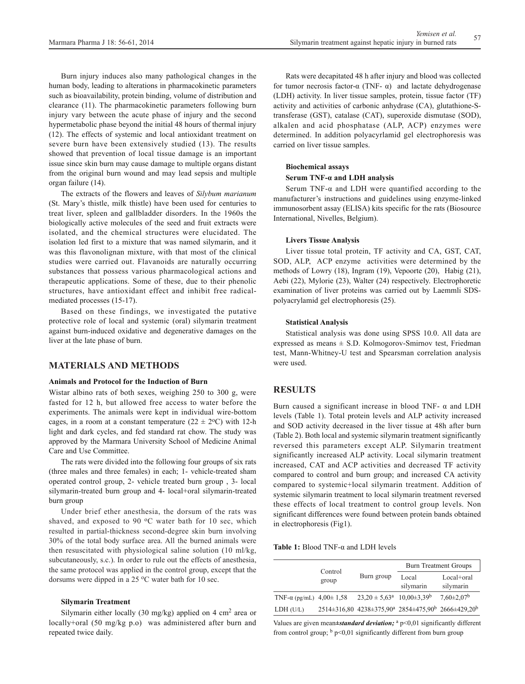Burn injury induces also many pathological changes in the human body, leading to alterations in pharmacokinetic parameters such as bioavailability, protein binding, volume of distribution and clearance (11). The pharmacokinetic parameters following burn injury vary between the acute phase of injury and the second hypermetabolic phase beyond the initial 48 hours of thermal injury (12). The effects of systemic and local antioxidant treatment on severe burn have been extensively studied (13). The results showed that prevention of local tissue damage is an important issue since skin burn may cause damage to multiple organs distant from the original burn wound and may lead sepsis and multiple organ failure (14).

The extracts of the flowers and leaves of *Silybum marianum* (St. Mary's thistle, milk thistle) have been used for centuries to treat liver, spleen and gallbladder disorders. In the 1960s the biologically active molecules of the seed and fruit extracts were isolated, and the chemical structures were elucidated. The isolation led first to a mixture that was named silymarin, and it was this flavonolignan mixture, with that most of the clinical studies were carried out. Flavanoids are naturally occurring substances that possess various pharmacological actions and therapeutic applications. Some of these, due to their phenolic structures, have antioxidant effect and inhibit free radicalmediated processes (15-17).

Based on these findings, we investigated the putative protective role of local and systemic (oral) silymarin treatment against burn-induced oxidative and degenerative damages on the liver at the late phase of burn.

# **MATERIALS AND METHODS**

#### **Animals and Protocol for the Induction of Burn**

Wistar albino rats of both sexes, weighing 250 to 300 g, were fasted for 12 h, but allowed free access to water before the experiments. The animals were kept in individual wire-bottom cages, in a room at a constant temperature  $(22 \pm 2^{\circ}C)$  with 12-h light and dark cycles, and fed standard rat chow. The study was approved by the Marmara University School of Medicine Animal Care and Use Committee.

The rats were divided into the following four groups of six rats (three males and three females) in each; 1- vehicle-treated sham operated control group, 2- vehicle treated burn group , 3- local silymarin-treated burn group and 4- local+oral silymarin-treated burn group

Under brief ether anesthesia, the dorsum of the rats was shaved, and exposed to 90  $\degree$ C water bath for 10 sec, which resulted in partial-thickness second-degree skin burn involving 30% of the total body surface area. All the burned animals were then resuscitated with physiological saline solution (10 ml/kg, subcutaneously, s.c.). In order to rule out the effects of anesthesia, the same protocol was applied in the control group, except that the dorsums were dipped in a  $25 \degree C$  water bath for 10 sec.

#### **Silymarin Treatment**

Silymarin either locally (30 mg/kg) applied on 4 cm<sup>2</sup> area or locally+oral (50 mg/kg p.o) was administered after burn and repeated twice daily.

Rats were decapitated 48 h after injury and blood was collected for tumor necrosis factor-α (TNF- α) and lactate dehydrogenase (LDH) activity. In liver tissue samples, protein, tissue factor (TF) activity and activities of carbonic anhydrase (CA), glutathione-Stransferase (GST), catalase (CAT), superoxide dismutase (SOD), alkalen and acid phosphatase (ALP, ACP) enzymes were determined. In addition polyacyrlamid gel electrophoresis was carried on liver tissue samples.

#### **Biochemical assays**

#### **Serum TNF-α and LDH analysis**

Serum TNF- $\alpha$  and LDH were quantified according to the manufacturer's instructions and guidelines using enzyme-linked immunosorbent assay (ELISA) kits specific for the rats (Biosource International, Nivelles, Belgium).

#### **Livers Tissue Analysis**

Liver tissue total protein, TF activity and CA, GST, CAT, SOD, ALP, ACP enzyme activities were determined by the methods of Lowry (18), Ingram (19), Vepoorte (20), Habig (21), Aebi (22), Mylorie (23), Walter (24) respectively. Electrophoretic examination of liver proteins was carried out by Laemmli SDSpolyacrylamid gel electrophoresis (25).

#### **Statistical Analysis**

Statistical analysis was done using SPSS 10.0. All data are expressed as means  $\pm$  S.D. Kolmogorov-Smirnov test, Friedman test, Mann-Whitney-U test and Spearsman correlation analysis were used.

# **RESULTS**

Burn caused a significant increase in blood TNF-  $\alpha$  and LDH levels (Table 1). Total protein levels and ALP activity increased and SOD activity decreased in the liver tissue at 48h after burn (Table 2). Both local and systemic silymarin treatment significantly reversed this parameters except ALP. Silymarin treatment significantly increased ALP activity. Local silymarin treatment increased, CAT and ACP activities and decreased TF activity compared to control and burn group; and increased CA activity compared to systemic+local silymarin treatment. Addition of systemic silymarin treatment to local silymarin treatment reversed these effects of local treatment to control group levels. Non significant differences were found between protein bands obtained in electrophoresis (Fig1).

**Table 1:** Blood TNF-α and LDH levels

|                                       | Control<br>group | Burn group                                 | <b>Burn Treatment Groups</b>                                          |                         |
|---------------------------------------|------------------|--------------------------------------------|-----------------------------------------------------------------------|-------------------------|
|                                       |                  |                                            | Local<br>silymarin                                                    | Local+oral<br>silymarin |
| TNF- $\alpha$ (pg/mL) 4,00 $\pm$ 1,58 |                  | $23,20 \pm 5,63^a$ 10,00±3,39 <sup>b</sup> |                                                                       | $7.60 \pm 2.07^{\rm b}$ |
| LDH (U/L)                             |                  |                                            | $2514\pm316,80$ $4238\pm375,90^a$ $2854\pm475,90^b$ $2666\pm429,20^b$ |                         |

Values are given mean±standard deviation; <sup>a</sup> p<0,01 significantly different from control group;  $\frac{b}{b}$  p<0,01 significantly different from burn group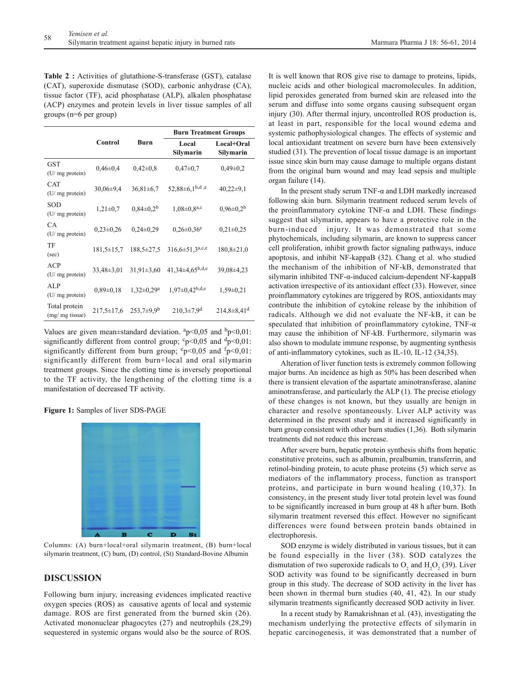**Table 2 :** Activities of glutathione-S-transferase (GST), catalase (CAT), superoxide dismutase (SOD), carbonic anhydrase (CA), tissue factor (TF), acid phosphatase (ALP), alkalen phosphatase (ACP) enzymes and protein levels in liver tissue samples of all groups (n=6 per group)

|                                  |                  |                              | <b>Burn Treatment Groups</b>     |                         |
|----------------------------------|------------------|------------------------------|----------------------------------|-------------------------|
|                                  | Control          | <b>Burn</b>                  | Local<br>Silymarin               | Local+Oral<br>Silymarin |
| <b>GST</b><br>(U/ mg protein)    | $0,46 \pm 0,4$   | $0.42 \pm 0.8$               | $0.47 \pm 0.7$                   | $0,49\pm0.2$            |
| <b>CAT</b><br>(U/ mg protein)    | $30,06\pm9,4$    | $36,81 \pm 6,7$              | 52,88 $\pm$ 6,1 <sup>b,d,e</sup> | $40,22\pm9,1$           |
| <b>SOD</b><br>(U/ mg protein)    | $1,21\pm0,7$     | $0,84\pm0,2^{b}$             | $1,08 \pm 0,8^{a,c}$             | $0.96 \pm 0.2^b$        |
| <b>CA</b><br>(U/ mg protein)     | $0,23\pm0,26$    | $0,24\pm0.29$                | $0,26 \pm 0,36$ <sup>e</sup>     | $0,21\pm0,25$           |
| TF<br>(sec)                      | $181,5 \pm 15,7$ | $188,5 \pm 27,5$             | $316,6 \pm 51,3^{a,c,e}$         | $180,8{\pm}21,0$        |
| ACP<br>(U/ mg protein)           | $33,48 \pm 3,01$ | $31,91\pm3,60$               | $41,34\pm4,65^{b,d,e}$           | 39,08±4,23              |
| <b>ALP</b><br>(U/ mg protein)    | $0,89\pm0,18$    | $1,32 \pm 0,29$ <sup>a</sup> | $1.97 \pm 0.42^{b,d,e}$          | $1,59\pm0,21$           |
| Total protein<br>(mg/ mg tissue) | $217,5 \pm 17,6$ | $253,7+9,9^b$                | $210,3\pm7,9$ <sup>d</sup>       | $214,8+8,41d$           |

Values are given mean $\pm$ standard deviation.  $a$ p<0,05 and  $b$ p<0,01: significantly different from control group;  $c_p < 0.05$  and  $d_p < 0.01$ : significantly different from burn group;  $e_p < 0.05$  and  $f_p < 0.01$ : significantly different from burn+local and oral silymarin treatment groups. Since the clotting time is inversely proportional to the TF activity, the lengthening of the clotting time is a manifestation of decreased TF activity.

**Figure 1:** Samples of liver SDS-PAGE



Columns: (A) burn+local+oral silymarin treatment, (B) burn+local silymarin treatment, (C) burn, (D) control, (St) Standard-Bovine Albumin

# **DISCUSSION**

Following burn injury, increasing evidences implicated reactive oxygen species (ROS) as causative agents of local and systemic damage. ROS are first generated from the burned skin (26). Activated mononuclear phagocytes (27) and neutrophils (28,29) sequestered in systemic organs would also be the source of ROS. It is well known that ROS give rise to damage to proteins, lipids, nucleic acids and other biological macromolecules. In addition, lipid peroxides generated from burned skin are released into the serum and diffuse into some organs causing subsequent organ injury (30). After thermal injury, uncontrolled ROS production is, at least in part, responsible for the local wound edema and systemic pathophysiological changes. The effects of systemic and local antioxidant treatment on severe burn have been extensively studied (31). The prevention of local tissue damage is an important issue since skin burn may cause damage to multiple organs distant from the original burn wound and may lead sepsis and multiple organ failure (14).

In the present study serum TNF- $\alpha$  and LDH markedly increased following skin burn. Silymarin treatment reduced serum levels of the proinflammatory cytokine TNF- $\alpha$  and LDH. These findings suggest that silymarin, appears to have a protective role in the burn-induced injury. It was demonstrated that some phytochemicals, including silymarin, are known to suppress cancer cell proliferation, inhibit growth factor signaling pathways, induce apoptosis, and inhibit NF-kappaB (32). Chang et al. who studied the mechanism of the inhibition of NF-kB, demonstrated that silymarin inhibited TNF-α-induced calcium-dependent NF-kappaB activation irrespective of its antioxidant effect (33). However, since proinflammatory cytokines are triggered by ROS, antioxidants may contribute the inhibition of cytokine release by the inhibition of radicals. Although we did not evaluate the NF-kB, it can be speculated that inhibition of proinflammatory cytokine,  $TNF-\alpha$ may cause the inhibition of NF-kB. Furthermore, silymarin was also shown to modulate immune response, by augmenting synthesis of anti-inflammatory cytokines, such as IL-10, IL-12 (34,35).

Alteration of liver function tests is extremely common following major burns. An incidence as high as 50% has been described when there is transient elevation of the aspartate aminotransferase, alanine aminotransferase, and particularly the ALP (1). The precise etiology of these changes is not known, but they usually are benign in character and resolve spontaneously. Liver ALP activity was determined in the present study and it increased significantly in burn group consistent with other burn studies (1,36). Both silymarin treatments did not reduce this increase.

After severe burn, hepatic protein synthesis shifts from hepatic constitutive proteins, such as albumin, prealbumin, transferrin, and retinol-binding protein, to acute phase proteins (5) which serve as mediators of the inflammatory process, function as transport proteins, and participate in burn wound healing (10,37). In consistency, in the present study liver total protein level was found to be significantly increased in burn group at 48 h after burn. Both silymarin treatment reversed this effect. However no significant differences were found between protein bands obtained in electrophoresis.

SOD enzyme is widely distributed in various tissues, but it can be found especially in the liver (38). SOD catalyzes the dismutation of two superoxide radicals to  $O_2$  and  $H_2O_2$  (39). Liver SOD activity was found to be significantly decreased in burn group in this study. The decrease of SOD activity in the liver has been shown in thermal burn studies (40, 41, 42). In our study silymarin treatments significantly decreased SOD activity in liver.

In a recent study by Ramakrishnan et al. (43), investigating the mechanism underlying the protective effects of silymarin in hepatic carcinogenesis, it was demonstrated that a number of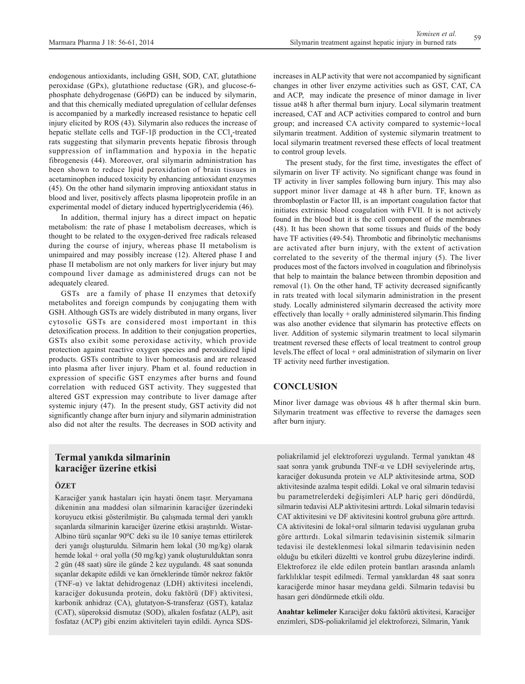endogenous antioxidants, including GSH, SOD, CAT, glutathione peroxidase (GPx), glutathione reductase (GR), and glucose-6 phosphate dehydrogenase (G6PD) can be induced by silymarin, and that this chemically mediated upregulation of cellular defenses is accompanied by a markedly increased resistance to hepatic cell injury elicited by ROS (43). Silymarin also reduces the increase of hepatic stellate cells and TGF-1 $\beta$  production in the CCl<sub>4</sub>-treated rats suggesting that silymarin prevents hepatic fibrosis through suppression of inflammation and hypoxia in the hepatic fibrogenesis (44). Moreover, oral silymarin administration has been shown to reduce lipid peroxidation of brain tissues in acetaminophen induced toxicity by enhancing antioxidant enzymes (45). On the other hand silymarin improving antioxidant status in blood and liver, positively affects plasma lipoprotein profile in an experimental model of dietary induced hypertriglyceridemia (46).

In addition, thermal injury has a direct impact on hepatic metabolism: the rate of phase I metabolism decreases, which is thought to be related to the oxygen-derived free radicals released during the course of injury, whereas phase II metabolism is unimpaired and may possibly increase (12). Altered phase I and phase II metabolism are not only markers for liver injury but may compound liver damage as administered drugs can not be adequately cleared.

GSTs are a family of phase II enzymes that detoxify metabolites and foreign compunds by conjugating them with GSH. Although GSTs are widely distributed in many organs, liver cytosolic GSTs are considered most important in this detoxification process. In addition to their conjugation properties, GSTs also exibit some peroxidase activity, which provide protection against reactive oxygen species and peroxidized lipid products. GSTs contribute to liver homeostasis and are released into plasma after liver injury. Pham et al. found reduction in expression of specific GST enzymes after burns and found correlation with reduced GST activity. They suggested that altered GST expression may contribute to liver damage after systemic injury (47). In the present study, GST activity did not significantly change after burn injury and silymarin administration also did not alter the results. The decreases in SOD activity and

# **Termal yanıkda silmarinin karaciğer üzerine etkisi**

#### **ÖZET**

Karaciğer yanık hastaları için hayati önem taşır. Meryamana dikeninin ana maddesi olan silmarinin karaciğer üzerindeki koruyucu etkisi gösterilmiştir. Bu çalışmada termal deri yanıklı sıçanlarda silmarinin karaciğer üzerine etkisi araştırıldı. Wistar-Albino türü sıçanlar 90°C deki su ile 10 saniye temas ettirilerek deri yanığı oluşturuldu. Silmarin hem lokal (30 mg/kg) olarak hemde lokal + oral yolla (50 mg/kg) yanık oluşturulduktan sonra 2 gün (48 saat) süre ile günde 2 kez uygulandı. 48 saat sonunda sıçanlar dekapite edildi ve kan örneklerinde tümör nekroz faktör (TNF-α) ve laktat dehidrogenaz (LDH) aktivitesi incelendi, karaciğer dokusunda protein, doku faktörü (DF) aktivitesi, karbonik anhidraz (CA), glutatyon-S-transferaz (GST), katalaz (CAT), süperoksid dismutaz (SOD), alkalen fosfataz (ALP), asit fosfataz (ACP) gibi enzim aktiviteleri tayin edildi. Ayrıca SDS- increases in ALP activity that were not accompanied by significant changes in other liver enzyme activities such as GST, CAT, CA and ACP, may indicate the presence of minor damage in liver tissue at48 h after thermal burn injury. Local silymarin treatment increased, CAT and ACP activities compared to control and burn group; and increased CA activity compared to systemic+local silymarin treatment. Addition of systemic silymarin treatment to local silymarin treatment reversed these effects of local treatment to control group levels.

The present study, for the first time, investigates the effect of silymarin on liver TF activity. No significant change was found in TF activity in liver samples following burn injury. This may also support minor liver damage at 48 h after burn. TF, known as thromboplastin or Factor III, is an important coagulation factor that initiates extrinsic blood coagulation with FVII. It is not actively found in the blood but it is the cell component of the membranes (48). It has been shown that some tissues and fluids of the body have TF activities (49-54). Thrombotic and fibrinolytic mechanisms are activated after burn injury, with the extent of activation correlated to the severity of the thermal injury (5). The liver produces most of the factors involved in coagulation and fibrinolysis that help to maintain the balance between thrombin deposition and removal (1). On the other hand, TF activity decreased significantly in rats treated with local silymarin administration in the present study. Locally administered silymarin decreased the activity more effectively than locally + orally administered silymarin.This finding was also another evidence that silymarin has protective effects on liver. Addition of systemic silymarin treatment to local silymarin treatment reversed these effects of local treatment to control group levels.The effect of local + oral administration of silymarin on liver TF activity need further investigation.

# **CONCLUSION**

Minor liver damage was obvious 48 h after thermal skin burn. Silymarin treatment was effective to reverse the damages seen after burn injury.

poliakrilamid jel elektroforezi uygulandı. Termal yanıktan 48 saat sonra yanık grubunda TNF-α ve LDH seviyelerinde artış, karaciğer dokusunda protein ve ALP aktivitesinde artma, SOD aktivitesinde azalma tespit edildi. Lokal ve oral silmarin tedavisi bu parametrelerdeki değişimleri ALP hariç geri döndürdü, silmarin tedavisi ALP aktivitesini arttırdı. Lokal silmarin tedavisi CAT aktivitesini ve DF aktivitesini kontrol grubuna göre arttırdı. CA aktivitesini de lokal+oral silmarin tedavisi uygulanan gruba göre arttırdı. Lokal silmarin tedavisinin sistemik silmarin tedavisi ile desteklenmesi lokal silmarin tedavisinin neden olduğu bu etkileri düzeltti ve kontrol grubu düzeylerine indirdi. Elektroforez ile elde edilen protein bantları arasında anlamlı farklılıklar tespit edilmedi. Termal yanıklardan 48 saat sonra karaciğerde minor hasar meydana geldi. Silmarin tedavisi bu hasarı geri döndürmede etkili oldu.

**Anahtar kelimeler** Karaciğer doku faktörü aktivitesi, Karaciğer enzimleri, SDS-poliakrilamid jel elektroforezi, Silmarin, Yanık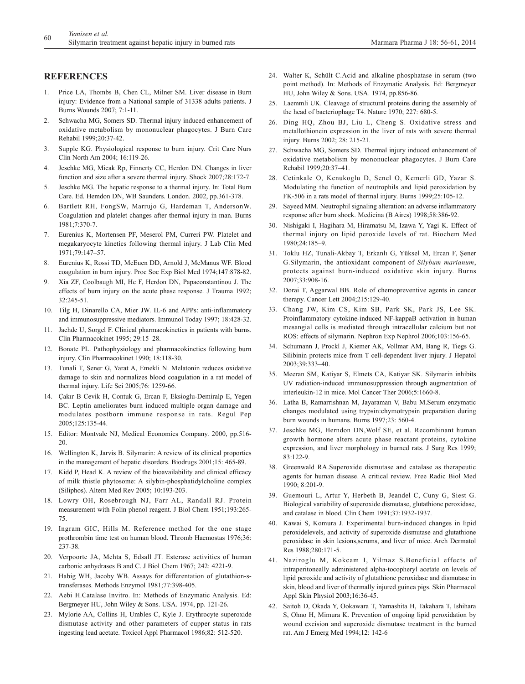# **REFERENCES**

- 1. Price LA, Thombs B, Chen CL, Milner SM. Liver disease in Burn injury: Evidence from a National sample of 31338 adults patients. J Burns Wounds 2007; 7:1-11.
- 2. Schwacha MG, Somers SD. Thermal injury induced enhancement of oxidative metabolism by mononuclear phagocytes. J Burn Care Rehabil 1999;20:37-42.
- 3. Supple KG. Physiological response to burn injury. Crit Care Nurs Clin North Am 2004; 16:119-26.
- Jeschke MG, Micak Rp, Finnerty CC, Herdon DN. Changes in liver function and size after a severe thermal injury. Shock 2007;28:172-7.
- 5. Jeschke MG. The hepatic response to a thermal injury. In: Total Burn Care. Ed. Hemdon DN, WB Saunders. London. 2002, pp.361-378.
- 6. Bartlett RH, FongSW, Marrujo G, Hardeman T, AndersonW. Coagulation and platelet changes after thermal injury in man. Burns 1981;7:370-7.
- 7. Eurenius K, Mortensen PF, Meserol PM, Curreri PW. Platelet and megakaryocyte kinetics following thermal injury. J Lab Clin Med 1971;79:147–57.
- 8. Eurenius K, Rossi TD, McEuen DD, Arnold J, McManus WF. Blood coagulation in burn injury. Proc Soc Exp Biol Med 1974;147:878-82.
- 9. Xia ZF, Coolbaugh MI, He F, Herdon DN, Papaconstantinou J. The effects of burn injury on the acute phase response. J Trauma 1992; 32:245-51.
- 10. Tilg H, Dinarello CA, Mier JW. IL-6 and APPs: anti-inflammatory and immunosuppressive mediators. Immunol Today 1997; 18:428-32.
- 11. Jaehde U, Sorgel F. Clinical pharmacokinetics in patients with burns. Clin Pharmacokinet 1995; 29:15–28.
- 12. Bonate PL. Pathophysiology and pharmacokinetics following burn injury. Clin Pharmacokinet 1990; 18:118-30.
- 13. Tunali T, Sener G, Yarat A, Emekli N. Melatonin reduces oxidative damage to skin and normalizes blood coagulation in a rat model of thermal injury. Life Sci 2005;76: 1259-66.
- 14. Çakır B Cevik H, Contuk G, Ercan F, Eksioglu-Demiralp E, Yegen BC. Leptin ameliorates burn induced multiple organ damage and modulates postborn immune response in rats. Regul Pep 2005;125:135-44.
- 15. Editor: Montvale NJ, Medical Economics Company. 2000, pp.516- 20.
- 16. Wellington K, Jarvis B. Silymarin: A review of its clinical proporties in the management of hepatic disorders. Biodrugs 2001;15: 465-89.
- 17. Kidd P, Head K. A review of the bioavailability and clinical efficacy of milk thistle phytosome: A silybin-phosphatidylcholine complex (Siliphos). Altern Med Rev 2005; 10:193-203.
- 18. Lowry OH, Rosebrough NJ, Farr AL, Randall RJ. Protein measurement with Folin phenol reagent. J Biol Chem 1951;193:265- 75.
- 19. Ingram GIC, Hills M. Reference method for the one stage prothrombin time test on human blood. Thromb Haemostas 1976;36: 237-38.
- 20. Verpoorte JA, Mehta S, Edsall JT. Esterase activities of human carbonic anhydrases B and C. J Biol Chem 1967; 242: 4221-9.
- 21. Habig WH, Jacoby WB. Assays for differentation of glutathion-stransferases. Methods Enzymol 1981;77:398-405.
- 22. Aebi H.Catalase Invitro. In: Methods of Enzymatic Analysis. Ed: Bergmeyer HU, John Wiley & Sons. USA. 1974, pp. 121-26.
- 23. Mylorie AA, Collins H, Umbles C, Kyle J. Erythrocyte superoxide dismutase activity and other parameters of cupper status in rats ingesting lead acetate. Toxicol Appl Pharmacol 1986;82: 512-520.
- 24. Walter K, Schült C.Acid and alkaline phosphatase in serum (two point method). In: Methods of Enzymatic Analysis. Ed: Bergmeyer HU, John Wiley & Sons. USA. 1974, pp.856-86.
- 25. Laemmli UK. Cleavage of structural proteins during the assembly of the head of bacteriophage T4. Nature 1970; 227: 680-5.
- 26. Ding HQ, Zhou BJ, Liu L, Cheng S. Oxidative stress and metallothionein expression in the liver of rats with severe thermal injury. Burns 2002; 28: 215-21.
- 27. Schwacha MG, Somers SD. Thermal injury induced enhancement of oxidative metabolism by mononuclear phagocytes. J Burn Care Rehabil 1999;20:37–41.
- 28. Cetinkale O, Kenukoglu D, Senel O, Kemerli GD, Yazar S. Modulating the function of neutrophils and lipid peroxidation by FK-506 in a rats model of thermal injury. Burns 1999;25:105-12.
- 29. Sayeed MM. Neutrophil signaling alteration: an adverse inflammatory response after burn shock. Medicina (B Aires) 1998;58:386-92.
- 30. Nishigaki I, Hagihara M, Hiramatsu M, Izawa Y, Yagi K. Effect of thermal injury on lipid peroxide levels of rat. Biochem Med 1980;24:185–9.
- 31. Toklu HZ, Tunali-Akbay T, Erkanlı G, Yüksel M, Ercan F, Şener G.Silymarin, the antioxidant component of *Silybum marianum*, protects against burn-induced oxidative skin injury. Burns 2007;33:908-16.
- 32. Dorai T, Aggarwal BB. Role of chemopreventive agents in cancer therapy. Cancer Lett 2004;215:129-40.
- 33. Chang JW, Kim CS, Kim SB, Park SK, Park JS, Lee SK. Proinflammatory cytokine-induced NF-kappaB activation in human mesangial cells is mediated through intracellular calcium but not ROS: effects of silymarin. Nephron Exp Nephrol 2006;103:156-65.
- 34. Schumann J, Prockl J, Kiemer AK, Vollmar AM, Bang R, Tiegs G. Silibinin protects mice from T cell-dependent liver injury. J Hepatol 2003;39:333–40.
- 35. Meeran SM, Katiyar S, Elmets CA, Katiyar SK. Silymarin inhibits UV radiation-induced immunosuppression through augmentation of interleukin-12 in mice. Mol Cancer Ther 2006;5:1660-8.
- 36. Latha B, Ramarrishnan M, Jayaraman V, Babu M.Serum enzymatic changes modulated using trypsin:chymotrypsin preparation during burn wounds in humans. Burns 1997;23: 560-4.
- 37. Jeschke MG, Herndon DN,Wolf SE, et al. Recombinant human growth hormone alters acute phase reactant proteins, cytokine expression, and liver morphology in burned rats. J Surg Res 1999; 83:122-9.
- 38. Greenwald RA.Superoxide dismutase and catalase as therapeutic agents for human disease. A critical review. Free Radic Biol Med 1990; 8:201-9.
- 39. Guemouri L, Artur Y, Herbeth B, Jeandel C, Cuny G, Siest G. Biological variability of superoxide dismutase, glutathione peroxidase, and catalase in blood. Clin Chem 1991;37:1932-1937.
- 40. Kawai S, Komura J. Experimental burn-induced changes in lipid peroxidelevels, and activity of superoxide dismutase and glutathione peroxidase in skin lesions,serums, and liver of mice. Arch Dermatol Res 1988;280:171-5.
- 41. Naziroglu M, Kokcam I, Yilmaz S.Beneficial effects of intraperitoneally administered alpha-tocopheryl acetate on levels of lipid peroxide and activity of glutathione peroxidase and dismutase in skin, blood and liver of thermally injured guinea pigs. Skin Pharmacol Appl Skin Physiol 2003;16:36-45.
- 42. Saitoh D, Okada Y, Ookawara T, Yamashita H, Takahara T, Ishihara S, Ohno H, Mimura K. Prevention of ongoing lipid peroxidation by wound excision and superoxide dismutase treatment in the burned rat. Am J Emerg Med 1994;12: 142-6